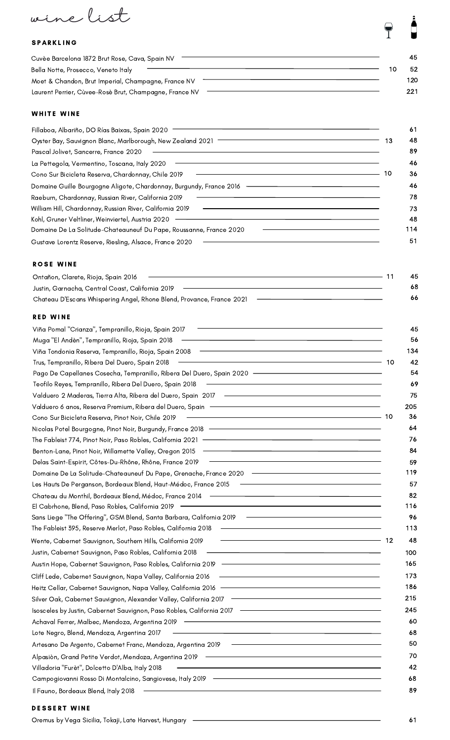wine list

### **SPARKLING**

| Cuvèe Barcelona 1872 Brut Rose, Cava, Spain NV         | 45. |
|--------------------------------------------------------|-----|
| Bella Notte, Prosecco, Veneto Italy                    | 52  |
| Moet & Chandon, Brut Imperial, Champagne, France NV    | 120 |
| Laurent Perrier, Cùvee-Rosè Brut, Champagne, France NV | 221 |

#### WHITE WINE

| Fillaboa, Albariño, DO Rías Baixas, Spain 2020                      | 61       |
|---------------------------------------------------------------------|----------|
| Oyster Bay, Sauvignon Blanc, Marlborough, New Zealand 2021          | 48<br>13 |
| Pascal Jolivet, Sancerre, France 2020                               | 89       |
| La Pettegola, Vermentino, Toscana, Italy 2020                       | 46       |
| Cono Sur Bicicleta Reserva, Chardonnay, Chile 2019                  | 10<br>36 |
| Domaine Guille Bourgogne Aligote, Chardonnay, Burgundy, France 2016 | 46       |
| Raeburn, Chardonnay, Russian River, California 2019                 | 78       |
| William Hill, Chardonnay, Russian River, California 2019            | 73       |
| Kohl, Gruner Veltliner, Weinviertel, Austria 2020                   | 48       |
| Domaine De La Solitude-Chateauneuf Du Pape, Roussanne, France 2020  | 114      |
| Gustave Lorentz Reserve, Riesling, Alsace, France 2020              | 51       |

### **ROSE WINE**

| Ontañon, Clarete, Rioja, Spain 2016                                   | 45  |
|-----------------------------------------------------------------------|-----|
| Justin, Garnacha, Central Coast, California 2019                      | -68 |
| Chateau D'Escans Whispering Angel, Rhone Blend, Provance, France 2021 | -66 |

### RED WINE

| Viña Pomal "Crianza", Tempranillo, Rioja, Spain 2017                                                                                                                              | 45          |
|-----------------------------------------------------------------------------------------------------------------------------------------------------------------------------------|-------------|
| Muga "El Andèn", Tempranillo, Rioja, Spain 2018                                                                                                                                   | 56          |
| the control of the control of the control of the control of the control of the control of<br>Viña Tondonia Reserva, Tempranillo, Rioja, Spain 2008                                | 134         |
| Trus, Tempranillo, Ribera Del Duero, Spain 2018                                                                                                                                   | 42<br>10    |
| Pago De Capellanes Cosecha, Tempranillo, Ribera Del Duero, Spain 2020 ————————————————                                                                                            | 54          |
| Teofilo Reyes, Tempranillo, Ribera Del Duero, Spain 2018                                                                                                                          | 69          |
| Valduero 2 Maderas, Tierra Alta, Ribera del Duero, Spain 2017 -                                                                                                                   | 75          |
| Valduero 6 anos, Reserva Premium, Ribera del Duero, Spain ——————————————————————                                                                                                  | 205         |
| Cono Sur Bicicleta Reserva, Pinot Noir, Chile 2019                                                                                                                                | $-10$<br>36 |
| Nicolas Potel Bourgogne, Pinot Noir, Burgundy, France 2018 —————————————————————                                                                                                  | 64          |
| The Fableist 774, Pinot Noir, Paso Robles, California 2021 ——————————————————————                                                                                                 | 76          |
| <u> 1980 - Johann Barn, mars ann an t-Amhain ann an t-Amhain an t-Amhain an t-Amhain an t-Amhain an t-Amhain an t-</u><br>Benton-Lane, Pinot Noir, Willamette Valley, Oregon 2015 | 84          |
| <u> 1989 - Johann Stoff, deutscher Stoff, der Stoff, der Stoff, der Stoff, der Stoff, der Stoff, der Stoff, der S</u><br>Delas Saint-Espirit, Côtes-Du-Rhône, Rhône, France 2019  | 59          |
| Domaine De La Solitude-Chateauneuf Du Pape, Grenache, France 2020 ——————————————                                                                                                  | 119         |
| Les Hauts De Perganson, Bordeaux Blend, Haut-Médoc, France 2015                                                                                                                   | 57          |
| Chateau du Monthil, Bordeaux Blend, Médoc, France 2014                                                                                                                            | 82          |
| El Cabrhone, Blend, Paso Robles, California 2019                                                                                                                                  | 116         |
| Sans Liege "The Offering", GSM Blend, Santa Barbara, California 2019                                                                                                              | 96          |
| The Fableist 395, Reserve Merlot, Paso Robles, California 2018                                                                                                                    | 113         |
| Wente, Cabernet Sauvignon, Southern Hills, California 2019                                                                                                                        | 12<br>48    |
| Justin, Cabernet Sauvignon, Paso Robles, California 2018                                                                                                                          | 100         |
|                                                                                                                                                                                   | 165         |
| Cliff Lede, Cabernet Sauvignon, Napa Valley, California 2016                                                                                                                      | 173         |
|                                                                                                                                                                                   | 186         |
|                                                                                                                                                                                   | 215         |
| Isosceles by Justin, Cabernet Sauvignon, Paso Robles, California 2017 – Alexander Alexander Alexander Alexander                                                                   | 245         |
| Achaval Ferrer, Malbec, Mendoza, Argentina 2019                                                                                                                                   | 60          |
| <u> 1989 - Johann Stein, marwolaethau a bhann an t-Amhair an t-Amhair an t-Amhair an t-Amhair an t-Amhair an t-A</u><br>Lote Negro, Blend, Mendoza, Argentina 2017                | 68          |
| Artesano De Argento, Cabernet Franc, Mendoza, Argentina 2019                                                                                                                      | 50          |
| Alpasiòn, Grand Petite Verdot, Mendoza, Argentina 2019                                                                                                                            | 70          |
| Villadoria "Furèt", Dolcetto D'Alba, Italy 2018                                                                                                                                   | 42          |
| Campogiovanni Rosso Di Montalcino, Sangiovese, Italy 2019 -                                                                                                                       | 68          |
| Il Fauno, Bordeaux Blend, Italy 2018                                                                                                                                              | 89          |
|                                                                                                                                                                                   |             |

### DESSERT WINE

| Oremus by Vega Sicilia, Tokaji, Late Harvest, Hungary |  |  |
|-------------------------------------------------------|--|--|
|-------------------------------------------------------|--|--|

 $\frac{1}{2}$ 

 $\bigcap$